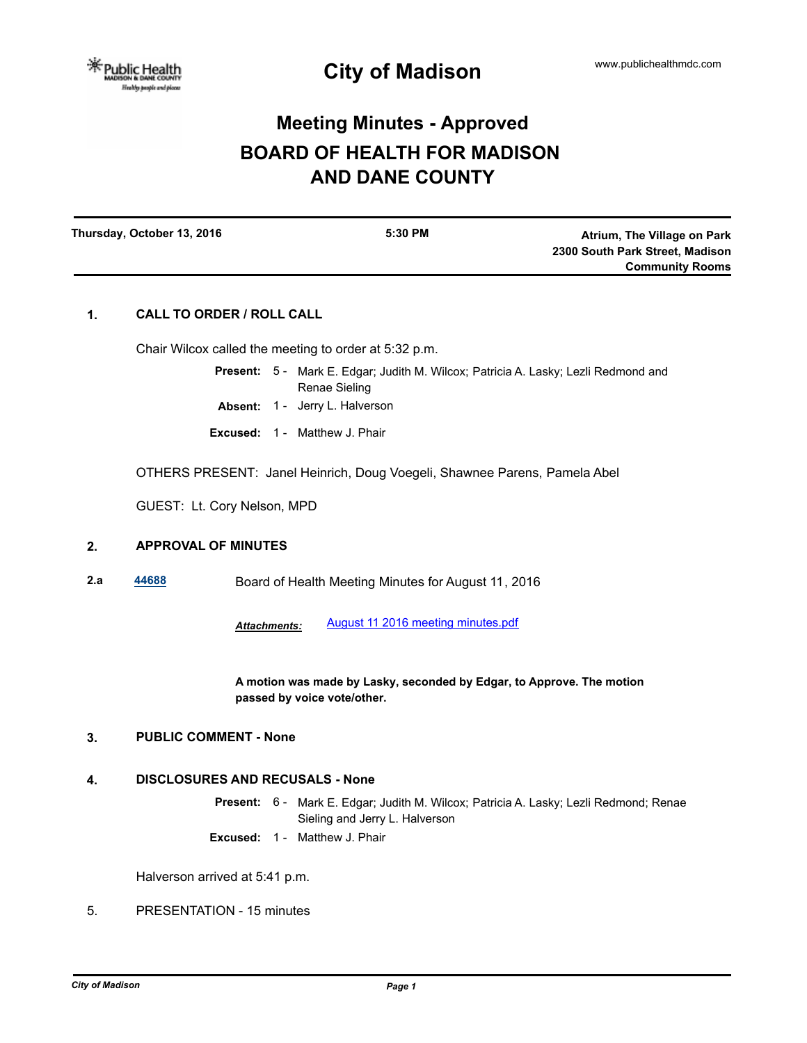# **Meeting Minutes - Approved BOARD OF HEALTH FOR MADISON AND DANE COUNTY**

| Thursday, October 13, 2016 | 5:30 PM | Atrium, The Village on Park     |
|----------------------------|---------|---------------------------------|
|                            |         | 2300 South Park Street, Madison |
|                            |         | <b>Community Rooms</b>          |
|                            |         |                                 |

# **1. CALL TO ORDER / ROLL CALL**

Chair Wilcox called the meeting to order at 5:32 p.m.

- Present: 5 Mark E. Edgar; Judith M. Wilcox; Patricia A. Lasky; Lezli Redmond and Renae Sieling
- **Absent:** 1 Jerry L. Halverson
- **Excused:** 1 Matthew J. Phair

OTHERS PRESENT: Janel Heinrich, Doug Voegeli, Shawnee Parens, Pamela Abel

GUEST: Lt. Cory Nelson, MPD

# **2. APPROVAL OF MINUTES**

**2.a [44688](http://madison.legistar.com/gateway.aspx?m=l&id=/matter.aspx?key=48840)** Board of Health Meeting Minutes for August 11, 2016

*Attachments:* [August 11 2016 meeting minutes.pdf](http://madison.legistar.com/gateway.aspx?M=F&ID=1f13f6e6-ea7d-4392-86f1-e0ddd8d84f9d.pdf)

**A motion was made by Lasky, seconded by Edgar, to Approve. The motion passed by voice vote/other.**

## **3. PUBLIC COMMENT - None**

## **4. DISCLOSURES AND RECUSALS - None**

Present: 6 - Mark E. Edgar; Judith M. Wilcox; Patricia A. Lasky; Lezli Redmond; Renae Sieling and Jerry L. Halverson

**Excused:** 1 - Matthew J. Phair

Halverson arrived at 5:41 p.m.

5. PRESENTATION - 15 minutes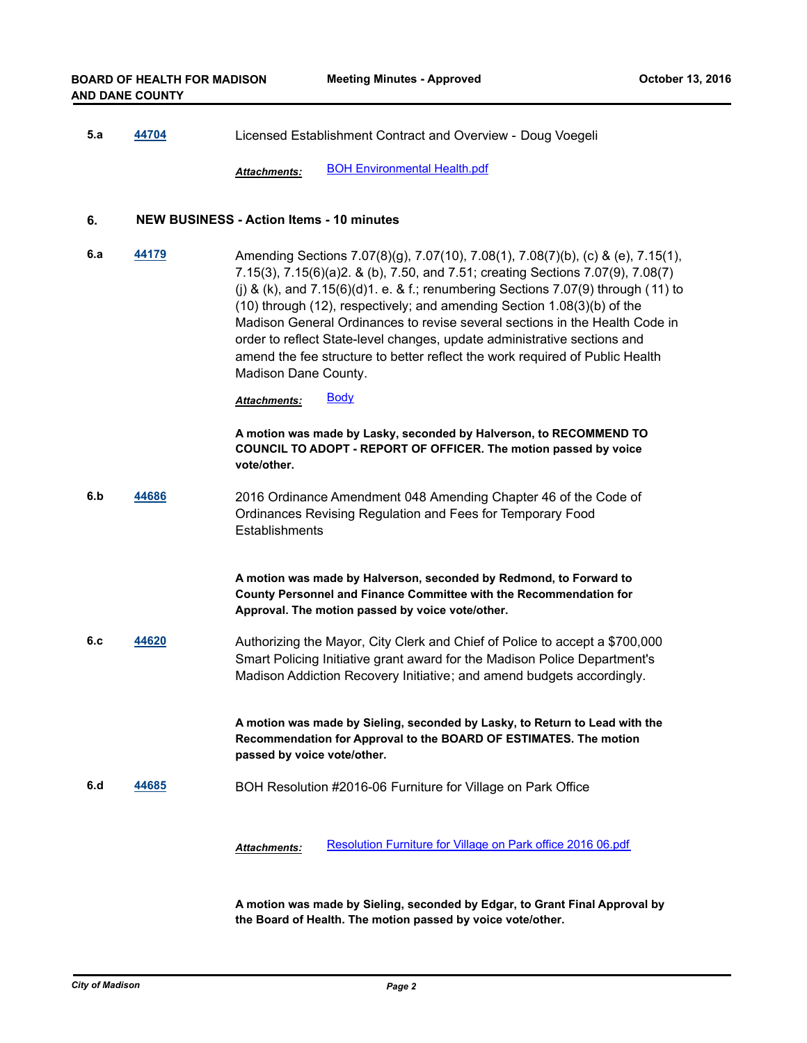**5.a [44704](http://madison.legistar.com/gateway.aspx?m=l&id=/matter.aspx?key=48856)** Licensed Establishment Contract and Overview - Doug Voegeli

*Attachments:* [BOH Environmental Health.pdf](http://madison.legistar.com/gateway.aspx?M=F&ID=7c220154-92c1-4d5b-95ff-4cdee2fae146.pdf)

#### **6. NEW BUSINESS - Action Items - 10 minutes**

**6.a [44179](http://madison.legistar.com/gateway.aspx?m=l&id=/matter.aspx?key=48371)** Amending Sections 7.07(8)(g), 7.07(10), 7.08(1), 7.08(7)(b), (c) & (e), 7.15(1), 7.15(3), 7.15(6)(a)2. & (b), 7.50, and 7.51; creating Sections 7.07(9), 7.08(7) (i) & (k), and  $7.15(6)(d)1$ . e. & f.; renumbering Sections  $7.07(9)$  through (11) to (10) through (12), respectively; and amending Section 1.08(3)(b) of the Madison General Ordinances to revise several sections in the Health Code in order to reflect State-level changes, update administrative sections and amend the fee structure to better reflect the work required of Public Health Madison Dane County.

Attachments: [Body](http://madison.legistar.com/gateway.aspx?M=F&ID=624a5f14-74e9-40dd-bcc8-fecd93d4dfcd.pdf)

**A motion was made by Lasky, seconded by Halverson, to RECOMMEND TO COUNCIL TO ADOPT - REPORT OF OFFICER. The motion passed by voice vote/other.**

**6.b [44686](http://madison.legistar.com/gateway.aspx?m=l&id=/matter.aspx?key=48838)** 2016 Ordinance Amendment 048 Amending Chapter 46 of the Code of Ordinances Revising Regulation and Fees for Temporary Food **Establishments** 

> **A motion was made by Halverson, seconded by Redmond, to Forward to County Personnel and Finance Committee with the Recommendation for Approval. The motion passed by voice vote/other.**

**6.c [44620](http://madison.legistar.com/gateway.aspx?m=l&id=/matter.aspx?key=48778)** Authorizing the Mayor, City Clerk and Chief of Police to accept a \$700,000 Smart Policing Initiative grant award for the Madison Police Department's Madison Addiction Recovery Initiative; and amend budgets accordingly.

> **A motion was made by Sieling, seconded by Lasky, to Return to Lead with the Recommendation for Approval to the BOARD OF ESTIMATES. The motion passed by voice vote/other.**

**6.d [44685](http://madison.legistar.com/gateway.aspx?m=l&id=/matter.aspx?key=48837)** BOH Resolution #2016-06 Furniture for Village on Park Office

*Attachments:* [Resolution Furniture for Village on Park office 2016 06.pdf](http://madison.legistar.com/gateway.aspx?M=F&ID=5d48016b-efcc-43c2-abcf-21f550ae0649.pdf)

**A motion was made by Sieling, seconded by Edgar, to Grant Final Approval by the Board of Health. The motion passed by voice vote/other.**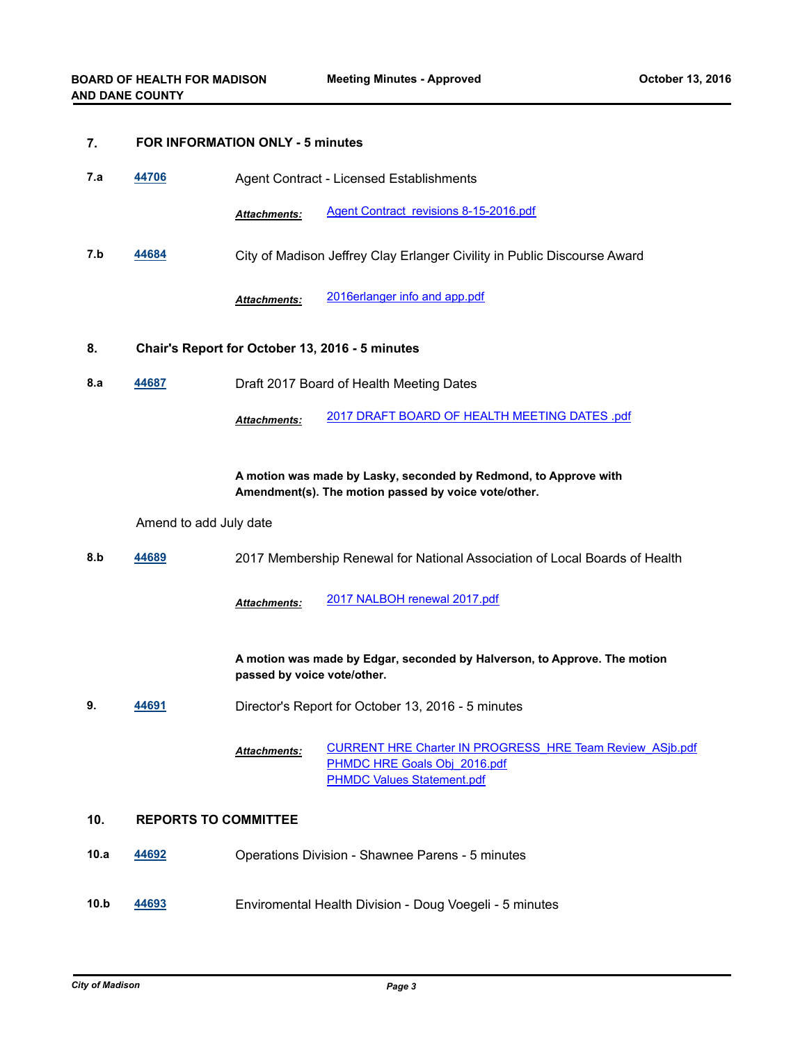#### **7. FOR INFORMATION ONLY - 5 minutes**

| 44706<br>7.a<br>Agent Contract - Licensed Establishments |
|----------------------------------------------------------|
|----------------------------------------------------------|

*Attachments:* [Agent Contract revisions 8-15-2016.pdf](http://madison.legistar.com/gateway.aspx?M=F&ID=52bd0b47-dfd9-4cb8-8709-e220565376c0.pdf)

**7.b [44684](http://madison.legistar.com/gateway.aspx?m=l&id=/matter.aspx?key=48836)** City of Madison Jeffrey Clay Erlanger Civility in Public Discourse Award

*Attachments:* [2016erlanger info and app.pdf](http://madison.legistar.com/gateway.aspx?M=F&ID=5db5f55c-ad7b-4de9-b65c-f90e1032c3e4.pdf)

#### **8. Chair's Report for October 13, 2016 - 5 minutes**

**8.a [44687](http://madison.legistar.com/gateway.aspx?m=l&id=/matter.aspx?key=48839)** Draft 2017 Board of Health Meeting Dates

*Attachments:* [2017 DRAFT BOARD OF HEALTH MEETING DATES .pdf](http://madison.legistar.com/gateway.aspx?M=F&ID=bf3a84b5-7866-4cfe-a178-addc531ba6c0.pdf)

**A motion was made by Lasky, seconded by Redmond, to Approve with Amendment(s). The motion passed by voice vote/other.**

## Amend to add July date

**8.b [44689](http://madison.legistar.com/gateway.aspx?m=l&id=/matter.aspx?key=48841)** 2017 Membership Renewal for National Association of Local Boards of Health

*Attachments:* [2017 NALBOH renewal 2017.pdf](http://madison.legistar.com/gateway.aspx?M=F&ID=366db4e0-5a2e-4b20-9c89-c6bab68647f4.pdf)

**A motion was made by Edgar, seconded by Halverson, to Approve. The motion passed by voice vote/other.**

**9. [44691](http://madison.legistar.com/gateway.aspx?m=l&id=/matter.aspx?key=48843)** Director's Report for October 13, 2016 - 5 minutes

[CURRENT HRE Charter IN PROGRESS\\_HRE Team Review\\_ASjb.pdf](http://madison.legistar.com/gateway.aspx?M=F&ID=7a78b761-4b2c-40dd-a497-769db3a83820.pdf) [PHMDC HRE Goals Obj\\_2016.pdf](http://madison.legistar.com/gateway.aspx?M=F&ID=4e4b027c-a83d-4845-a8a8-7c6f4e4f9bd5.pdf) **[PHMDC Values Statement.pdf](http://madison.legistar.com/gateway.aspx?M=F&ID=ee6b4927-e565-457c-826c-642a6fbd51c7.pdf)** *Attachments:*

## **10. REPORTS TO COMMITTEE**

- **10.a [44692](http://madison.legistar.com/gateway.aspx?m=l&id=/matter.aspx?key=48844)** Operations Division Shawnee Parens 5 minutes
- **10.b [44693](http://madison.legistar.com/gateway.aspx?m=l&id=/matter.aspx?key=48845)** Enviromental Health Division Doug Voegeli 5 minutes